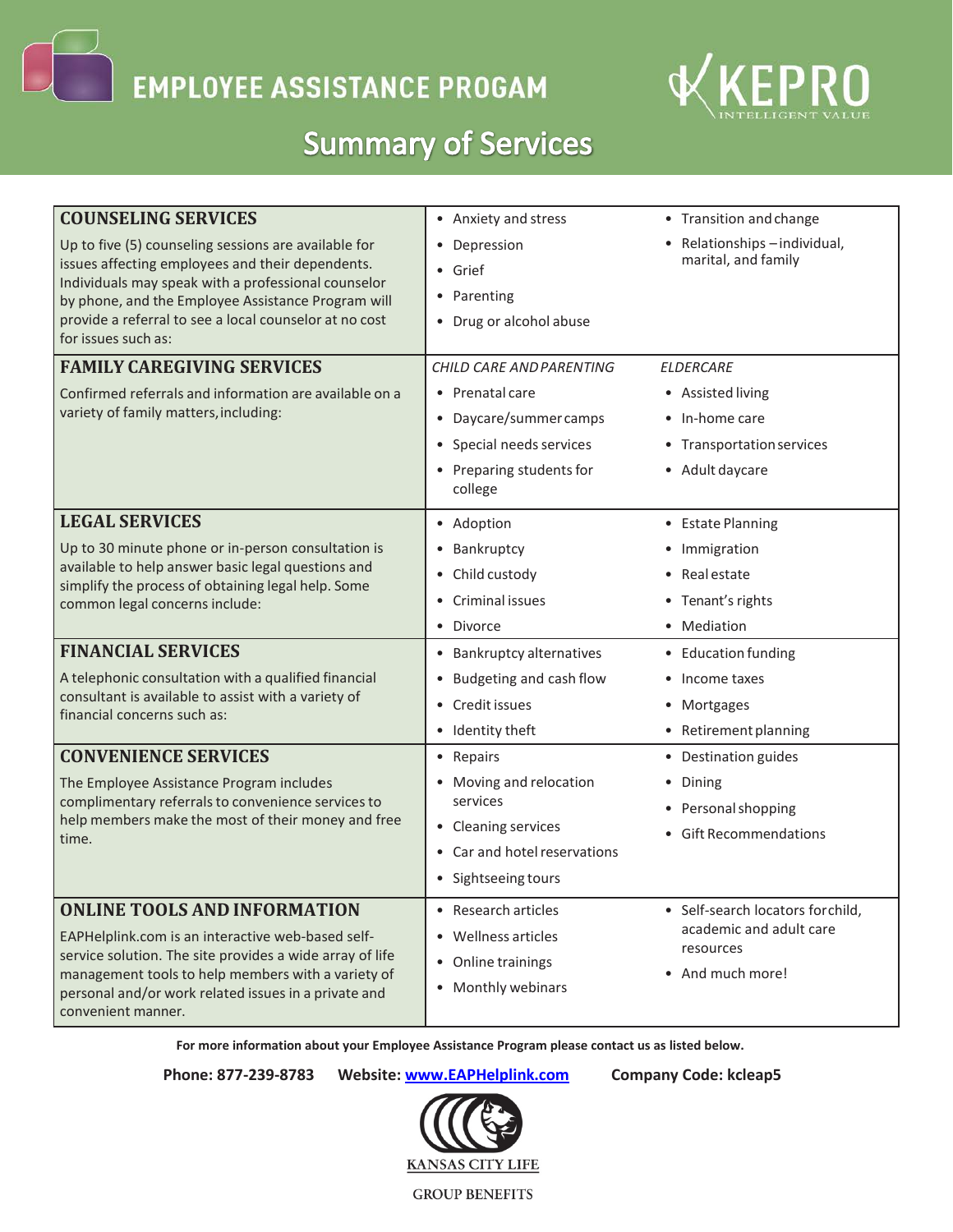**EMPLOYEE ASSISTANCE PROGAM** 



## **Summary of Services**

| <b>COUNSELING SERVICES</b>                                                                                                                                                                       | • Anxiety and stress           | • Transition and change                              |
|--------------------------------------------------------------------------------------------------------------------------------------------------------------------------------------------------|--------------------------------|------------------------------------------------------|
| Up to five (5) counseling sessions are available for<br>issues affecting employees and their dependents.<br>Individuals may speak with a professional counselor                                  | • Depression                   | • Relationships - individual,<br>marital, and family |
|                                                                                                                                                                                                  | • Grief                        |                                                      |
| by phone, and the Employee Assistance Program will                                                                                                                                               | • Parenting                    |                                                      |
| provide a referral to see a local counselor at no cost                                                                                                                                           | • Drug or alcohol abuse        |                                                      |
| for issues such as:                                                                                                                                                                              |                                |                                                      |
| <b>FAMILY CAREGIVING SERVICES</b>                                                                                                                                                                | CHILD CARE AND PARENTING       | <b>ELDERCARE</b>                                     |
| Confirmed referrals and information are available on a                                                                                                                                           | • Prenatal care                | • Assisted living                                    |
| variety of family matters, including:                                                                                                                                                            | • Daycare/summer camps         | • In-home care                                       |
|                                                                                                                                                                                                  | • Special needs services       | • Transportation services                            |
|                                                                                                                                                                                                  | • Preparing students for       | • Adult daycare                                      |
|                                                                                                                                                                                                  | college                        |                                                      |
| <b>LEGAL SERVICES</b>                                                                                                                                                                            | • Adoption                     | • Estate Planning                                    |
| Up to 30 minute phone or in-person consultation is<br>available to help answer basic legal questions and<br>simplify the process of obtaining legal help. Some<br>common legal concerns include: | • Bankruptcy                   | • Immigration                                        |
|                                                                                                                                                                                                  | • Child custody                | • Real estate                                        |
|                                                                                                                                                                                                  | • Criminal issues              | • Tenant's rights                                    |
|                                                                                                                                                                                                  | · Divorce                      | • Mediation                                          |
| <b>FINANCIAL SERVICES</b>                                                                                                                                                                        | • Bankruptcy alternatives      | • Education funding                                  |
| A telephonic consultation with a qualified financial<br>consultant is available to assist with a variety of<br>financial concerns such as:                                                       | • Budgeting and cash flow      | • Income taxes                                       |
|                                                                                                                                                                                                  | • Credit issues                | • Mortgages                                          |
|                                                                                                                                                                                                  | • Identity theft               | • Retirement planning                                |
| <b>CONVENIENCE SERVICES</b>                                                                                                                                                                      | • Repairs                      | • Destination guides                                 |
| The Employee Assistance Program includes                                                                                                                                                         | • Moving and relocation        | • Dining                                             |
| complimentary referrals to convenience services to                                                                                                                                               | services                       | • Personal shopping                                  |
| help members make the most of their money and free<br>time.                                                                                                                                      | • Cleaning services            | • Gift Recommendations                               |
|                                                                                                                                                                                                  | • Car and hotel reservations   |                                                      |
|                                                                                                                                                                                                  | • Sightseeing tours            |                                                      |
| <b>ONLINE TOOLS AND INFORMATION</b>                                                                                                                                                              | Research articles<br>$\bullet$ | • Self-search locators for child,                    |
| EAPHelplink.com is an interactive web-based self-                                                                                                                                                | • Wellness articles            | academic and adult care                              |
| service solution. The site provides a wide array of life                                                                                                                                         | • Online trainings             | resources<br>• And much more!                        |
| management tools to help members with a variety of<br>personal and/or work related issues in a private and                                                                                       | • Monthly webinars             |                                                      |
| convenient manner.                                                                                                                                                                               |                                |                                                      |

 **For more information about your Employee Assistance Program please contact us as listed below.**

**Phone: 877-239-8783 Website: [www.EAPHelplink.com](http://www.eaphelplink.com/) Company Code: kcleap5**



**GROUP BENEFITS**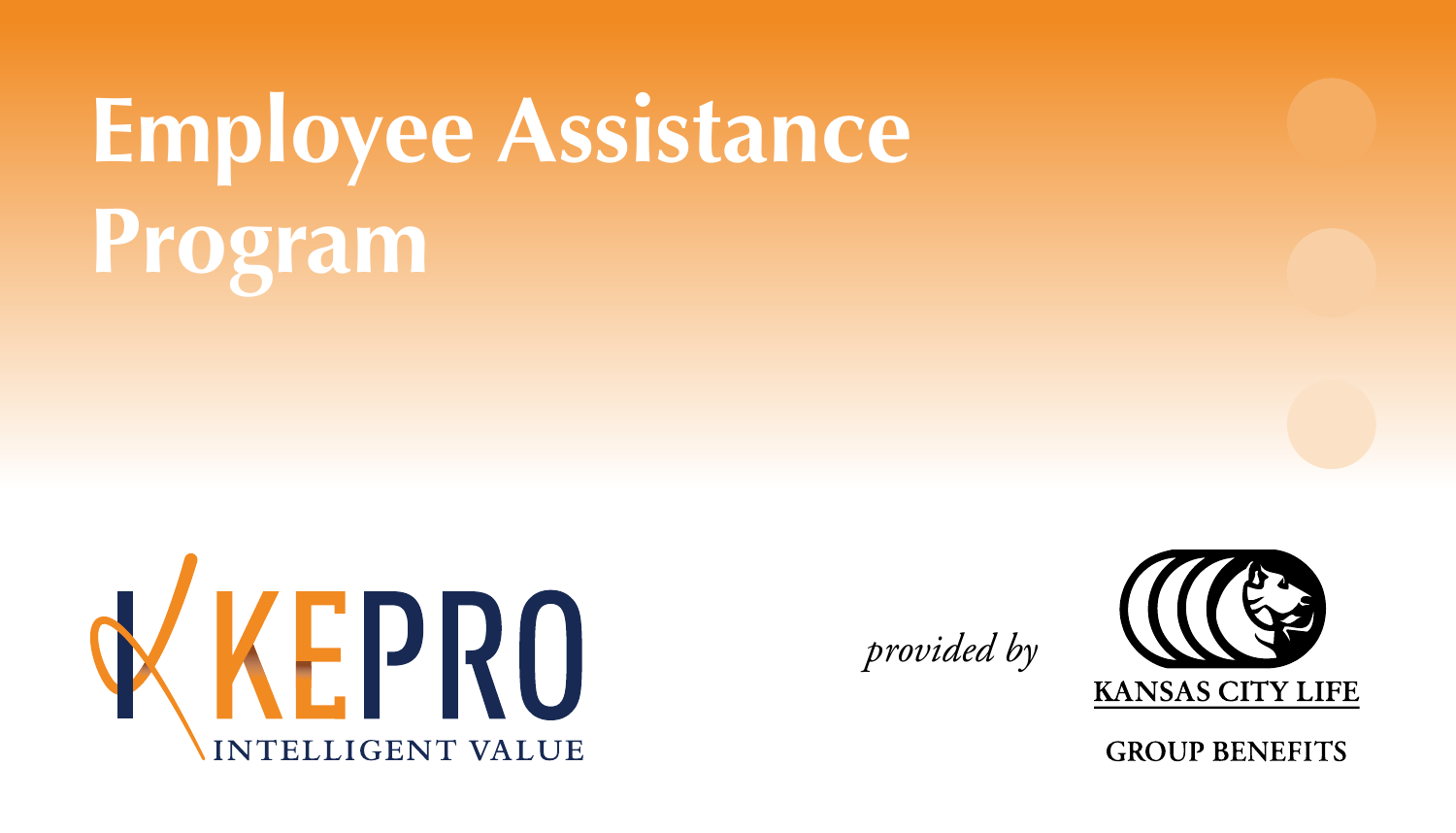## **Employee Assistance Program**



*provided by*



**GROUP BENEFITS**